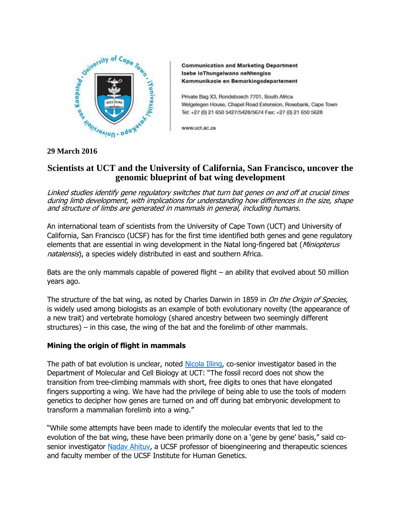

**Communication and Marketing Department** Isebe loThungelwano neNtengiso Kommunikasie en Bemarkingsdepartement

Private Bag X3, Rondebosch 7701, South Africa Welgelegen House, Chapel Road Extension, Rosebank, Cape Town Tel: +27 (0) 21 650 5427/5428/5674 Fax: +27 (0) 21 650 5628

www.uct.ac.za

## **29 March 2016**

# **Scientists at UCT and the University of California, San Francisco, uncover the genomic blueprint of bat wing development**

Linked studies identify gene regulatory switches that turn bat genes on and off at crucial times during limb development, with implications for understanding how differences in the size, shape and structure of limbs are generated in mammals in general, including humans.

An international team of scientists from the University of Cape Town (UCT) and University of California, San Francisco (UCSF) has for the first time identified both genes and gene regulatory elements that are essential in wing development in the Natal long-fingered bat (Miniopterus natalensis), a species widely distributed in east and southern Africa.

Bats are the only mammals capable of powered flight – an ability that evolved about 50 million years ago.

The structure of the bat wing, as noted by Charles Darwin in 1859 in On the Origin of Species, is widely used among biologists as an example of both evolutionary novelty (the appearance of a new trait) and vertebrate homology (shared ancestry between two seemingly different structures) – in this case, the wing of the bat and the forelimb of other mammals.

## **Mining the origin of flight in mammals**

The path of bat evolution is unclear, noted [Nicola Illing,](http://www.mcb.uct.ac.za/mcb/people/staff/academic/Illing/) co-senior investigator based in the Department of Molecular and Cell Biology at UCT: "The fossil record does not show the transition from tree-climbing mammals with short, free digits to ones that have elongated fingers supporting a wing. We have had the privilege of being able to use the tools of modern genetics to decipher how genes are turned on and off during bat embryonic development to transform a mammalian forelimb into a wing."

"While some attempts have been made to identify the molecular events that led to the evolution of the bat wing, these have been primarily done on a 'gene by gene' basis," said co-senior investigator [Nadav Ahituv,](http://pharm.ucsf.edu/ahituv) a UCSF professor of bioengineering and therapeutic sciences and faculty member of the UCSF Institute for Human Genetics.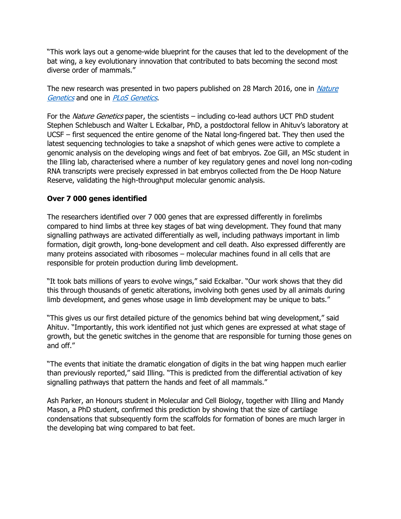"This work lays out a genome-wide blueprint for the causes that led to the development of the bat wing, a key evolutionary innovation that contributed to bats becoming the second most diverse order of mammals."

The new research was presented in two papers published on 28 March 2016, one in *Nature* [Genetics](http://www.nature.com/ng/index.html) and one in [PLoS Genetics](http://journals.plos.org/plosgenetics/).

For the *Nature Genetics* paper, the scientists – including co-lead authors UCT PhD student Stephen Schlebusch and Walter L Eckalbar, PhD, a postdoctoral fellow in Ahituv's laboratory at UCSF – first sequenced the entire genome of the Natal long-fingered bat. They then used the latest sequencing technologies to take a snapshot of which genes were active to complete a genomic analysis on the developing wings and feet of bat embryos. Zoe Gill, an MSc student in the Illing lab, characterised where a number of key regulatory genes and novel long non-coding RNA transcripts were precisely expressed in bat embryos collected from the De Hoop Nature Reserve, validating the high-throughput molecular genomic analysis.

## **Over 7 000 genes identified**

The researchers identified over 7 000 genes that are expressed differently in forelimbs compared to hind limbs at three key stages of bat wing development. They found that many signalling pathways are activated differentially as well, including pathways important in limb formation, digit growth, long-bone development and cell death. Also expressed differently are many proteins associated with ribosomes – molecular machines found in all cells that are responsible for protein production during limb development.

"It took bats millions of years to evolve wings," said Eckalbar. "Our work shows that they did this through thousands of genetic alterations, involving both genes used by all animals during limb development, and genes whose usage in limb development may be unique to bats."

"This gives us our first detailed picture of the genomics behind bat wing development," said Ahituv. "Importantly, this work identified not just which genes are expressed at what stage of growth, but the genetic switches in the genome that are responsible for turning those genes on and off."

"The events that initiate the dramatic elongation of digits in the bat wing happen much earlier than previously reported," said Illing. "This is predicted from the differential activation of key signalling pathways that pattern the hands and feet of all mammals."

Ash Parker, an Honours student in Molecular and Cell Biology, together with Illing and Mandy Mason, a PhD student, confirmed this prediction by showing that the size of cartilage condensations that subsequently form the scaffolds for formation of bones are much larger in the developing bat wing compared to bat feet.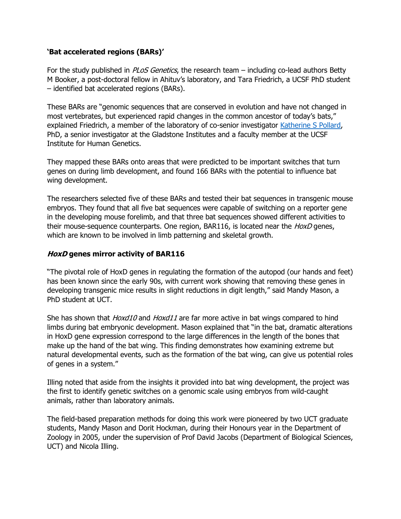## **'Bat accelerated regions (BARs)'**

For the study published in *PLoS Genetics*, the research team – including co-lead authors Betty M Booker, a post-doctoral fellow in Ahituv's laboratory, and Tara Friedrich, a UCSF PhD student – identified bat accelerated regions (BARs).

These BARs are "genomic sequences that are conserved in evolution and have not changed in most vertebrates, but experienced rapid changes in the common ancestor of today's bats," explained Friedrich, a member of the laboratory of co-senior investigator [Katherine S Pollard,](http://docpollard.com/) PhD, a senior investigator at the Gladstone Institutes and a faculty member at the UCSF Institute for Human Genetics.

They mapped these BARs onto areas that were predicted to be important switches that turn genes on during limb development, and found 166 BARs with the potential to influence bat wing development.

The researchers selected five of these BARs and tested their bat sequences in transgenic mouse embryos. They found that all five bat sequences were capable of switching on a reporter gene in the developing mouse forelimb, and that three bat sequences showed different activities to their mouse-sequence counterparts. One region, BAR116, is located near the *HoxD* genes, which are known to be involved in limb patterning and skeletal growth.

### **HoxD genes mirror activity of BAR116**

"The pivotal role of HoxD genes in regulating the formation of the autopod (our hands and feet) has been known since the early 90s, with current work showing that removing these genes in developing transgenic mice results in slight reductions in digit length," said Mandy Mason, a PhD student at UCT.

She has shown that *Hoxd10* and *Hoxd11* are far more active in bat wings compared to hind limbs during bat embryonic development. Mason explained that "in the bat, dramatic alterations in HoxD gene expression correspond to the large differences in the length of the bones that make up the hand of the bat wing. This finding demonstrates how examining extreme but natural developmental events, such as the formation of the bat wing, can give us potential roles of genes in a system."

Illing noted that aside from the insights it provided into bat wing development, the project was the first to identify genetic switches on a genomic scale using embryos from wild-caught animals, rather than laboratory animals.

The field-based preparation methods for doing this work were pioneered by two UCT graduate students, Mandy Mason and Dorit Hockman, during their Honours year in the Department of Zoology in 2005, under the supervision of Prof David Jacobs (Department of Biological Sciences, UCT) and Nicola Illing.